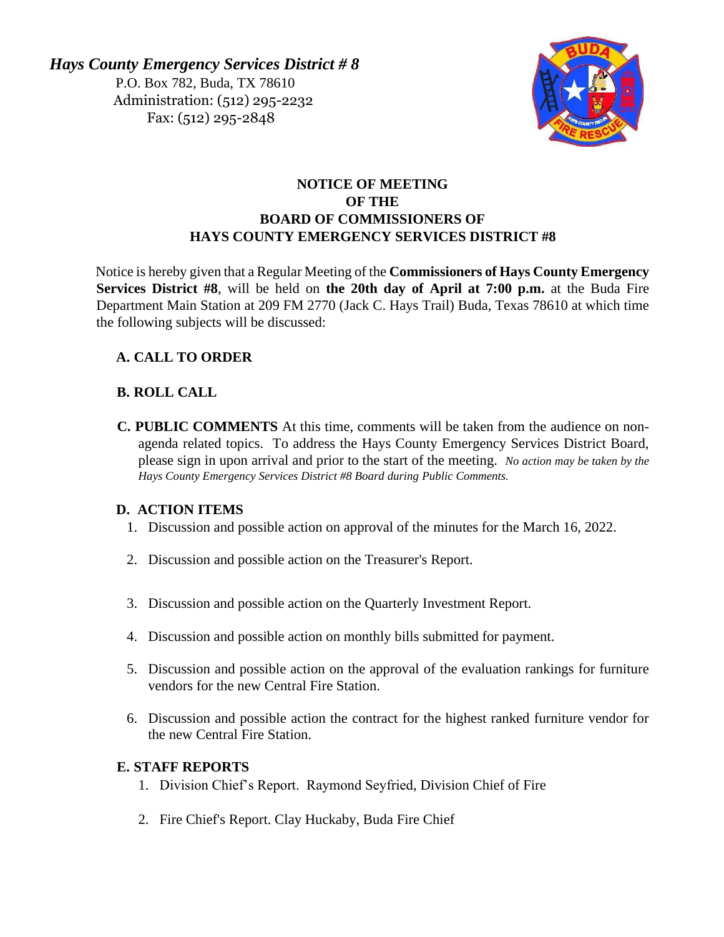*Hays County Emergency Services District # 8*  P.O. Box 782, Buda, TX 78610 Administration: (512) 295-2232 Fax: (512) 295-2848



# **NOTICE OF MEETING OF THE BOARD OF COMMISSIONERS OF HAYS COUNTY EMERGENCY SERVICES DISTRICT #8**

Notice is hereby given that a Regular Meeting of the **Commissioners of Hays County Emergency Services District #8**, will be held on **the 20th day of April at 7:00 p.m.** at the Buda Fire Department Main Station at 209 FM 2770 (Jack C. Hays Trail) Buda, Texas 78610 at which time the following subjects will be discussed:

# **A. CALL TO ORDER**

# **B. ROLL CALL**

**C. PUBLIC COMMENTS** At this time, comments will be taken from the audience on nonagenda related topics. To address the Hays County Emergency Services District Board, please sign in upon arrival and prior to the start of the meeting. *No action may be taken by the Hays County Emergency Services District #8 Board during Public Comments.*

## **D. ACTION ITEMS**

- 1. Discussion and possible action on approval of the minutes for the March 16, 2022.
- 2. Discussion and possible action on the Treasurer's Report.
- 3. Discussion and possible action on the Quarterly Investment Report.
- 4. Discussion and possible action on monthly bills submitted for payment.
- 5. Discussion and possible action on the approval of the evaluation rankings for furniture vendors for the new Central Fire Station.
- 6. Discussion and possible action the contract for the highest ranked furniture vendor for the new Central Fire Station.

## **E. STAFF REPORTS**

- 1. Division Chief's Report. Raymond Seyfried, Division Chief of Fire
- 2. Fire Chief's Report. Clay Huckaby, Buda Fire Chief